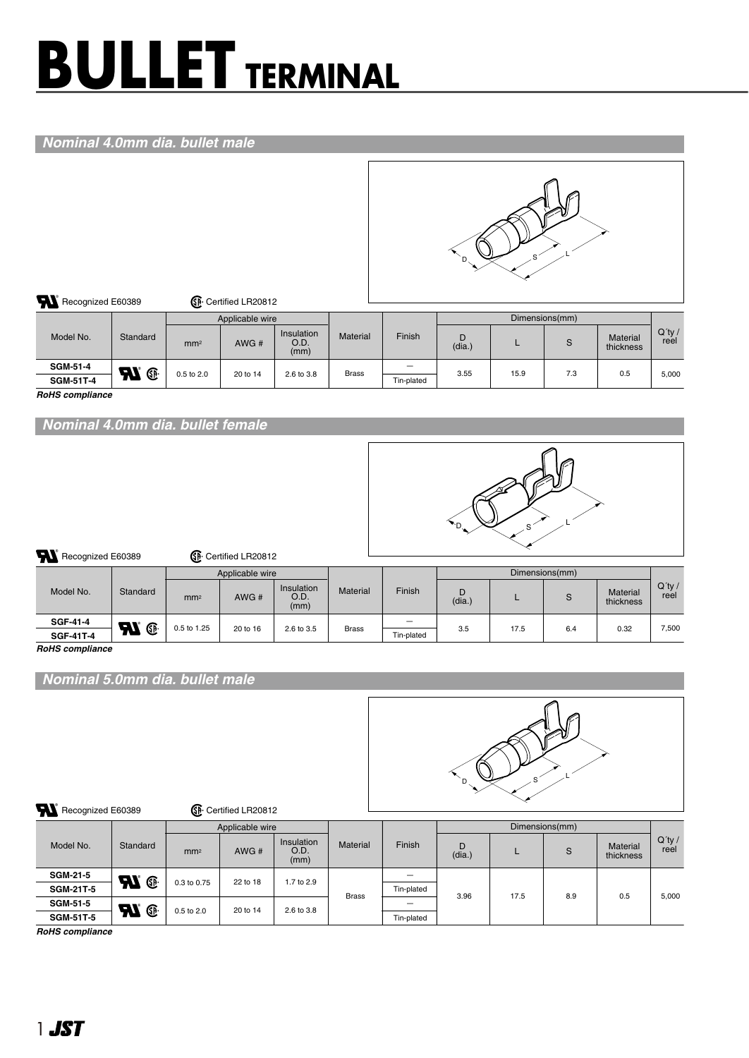# **BULLET TERMINAL**

## *Nominal 4.0mm dia. bullet male*



| <b>RI</b><br>SP Certified LR20812<br>Recognized E60389 |                                |                        |                 |                            |                 |            |             |      |                |                              |                   |
|--------------------------------------------------------|--------------------------------|------------------------|-----------------|----------------------------|-----------------|------------|-------------|------|----------------|------------------------------|-------------------|
|                                                        |                                |                        | Applicable wire |                            |                 |            |             |      | Dimensions(mm) |                              |                   |
| Model No.                                              | Standard                       | mm <sup>2</sup>        | AWG#            | Insulation<br>O.D.<br>(mm) | <b>Material</b> | Finish     | D<br>(dia.) |      | S              | <b>Material</b><br>thickness | $Q'$ ty /<br>reel |
| <b>SGM-51-4</b>                                        | <b>R</b><br>$\, \mathbb{G} \,$ |                        |                 | 2.6 to 3.8                 | <b>Brass</b>    |            | 3.55        | 15.9 | 7.3            | 0.5                          | 5.000             |
| <b>SGM-51T-4</b>                                       |                                | 0.5 to 2.0<br>20 to 14 |                 |                            |                 | Tin-plated |             |      |                |                              |                   |

*RoHS compliance*

*Nominal 4.0mm dia. bullet female*



| <b>Al</b><br>Recognized E60389 |                    |                 | <b>SP</b> : Certified LR20812 |                            |                 |                          |             |      |                |                       |                   |  |  |  |  |  |
|--------------------------------|--------------------|-----------------|-------------------------------|----------------------------|-----------------|--------------------------|-------------|------|----------------|-----------------------|-------------------|--|--|--|--|--|
|                                |                    |                 | Applicable wire               |                            |                 |                          |             |      | Dimensions(mm) |                       |                   |  |  |  |  |  |
| Model No.                      | Standard           | mm <sup>2</sup> | AWG#                          | Insulation<br>O.D.<br>(mm) | <b>Material</b> | Finish                   | D<br>(dia.) |      | S              | Material<br>thickness | $Q'$ ty /<br>reel |  |  |  |  |  |
| <b>SGF-41-4</b>                | <b>R</b>           | 0.5 to 1.25     | 20 to 16                      | 2.6 to 3.5                 | <b>Brass</b>    | $\overline{\phantom{0}}$ |             | 17.5 | 6.4            |                       | 7.500             |  |  |  |  |  |
| <b>SGF-41T-4</b>               | $\, \mathbb{G} \,$ |                 |                               |                            |                 | Tin-plated               | 3.5         |      |                | 0.32                  |                   |  |  |  |  |  |

*RoHS compliance*

*Nominal 5.0mm dia. bullet male*



#### Recognized E60389 **Canadian Contract Contract Contract Contract Contract Contract Contract Contract Contract Contract Contract Contract Contract Contract Contract Contract Contract Contract Contract Contract Contract Contr**

| Model No.        |                                              |                 | Applicable wire |                            |                 | Dimensions(mm) |             |      |     |                              |                            |
|------------------|----------------------------------------------|-----------------|-----------------|----------------------------|-----------------|----------------|-------------|------|-----|------------------------------|----------------------------|
|                  | Standard                                     | mm <sup>2</sup> | AWG#            | Insulation<br>O.D.<br>(mm) | <b>Material</b> | Finish         | D<br>(dia.) |      | S   | <b>Material</b><br>thickness | $Q'$ ty /<br>reel<br>5,000 |
| <b>SGM-21-5</b>  | <b>N</b>                                     |                 |                 | 1.7 to 2.9                 | <b>Brass</b>    | —              | 3.96        | 17.5 | 8.9 | 0.5                          |                            |
| <b>SGM-21T-5</b> |                                              | 0.3 to 0.75     | 22 to 18        |                            |                 | Tin-plated     |             |      |     |                              |                            |
| <b>SGM-51-5</b>  | $\boldsymbol{\mathcal{H}}$<br>$\mathbb{G}$ . | 20 to 14        |                 | 2.6 to 3.8                 |                 | –              |             |      |     |                              |                            |
| <b>SGM-51T-5</b> |                                              | 0.5 to 2.0      |                 |                            |                 | Tin-plated     |             |      |     |                              |                            |

*RoHS compliance*